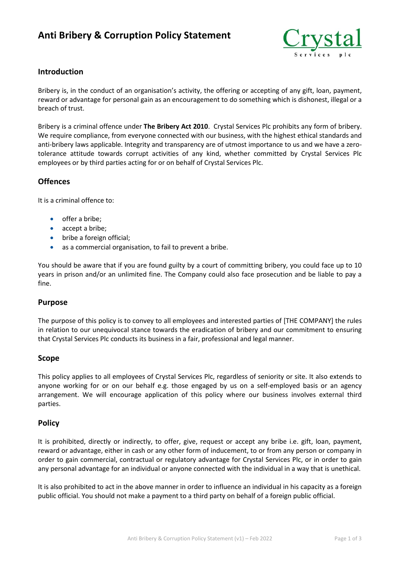# **Anti Bribery & Corruption Policy Statement**



## **Introduction**

Bribery is, in the conduct of an organisation's activity, the offering or accepting of any gift, loan, payment, reward or advantage for personal gain as an encouragement to do something which is dishonest, illegal or a breach of trust.

Bribery is a criminal offence under **The Bribery Act 2010**. Crystal Services Plc prohibits any form of bribery. We require compliance, from everyone connected with our business, with the highest ethical standards and anti-bribery laws applicable. Integrity and transparency are of utmost importance to us and we have a zerotolerance attitude towards corrupt activities of any kind, whether committed by Crystal Services Plc employees or by third parties acting for or on behalf of Crystal Services Plc.

## **Offences**

It is a criminal offence to:

- offer a bribe:
- accept a bribe;
- bribe a foreign official;
- as a commercial organisation, to fail to prevent a bribe.

You should be aware that if you are found guilty by a court of committing bribery, you could face up to 10 years in prison and/or an unlimited fine. The Company could also face prosecution and be liable to pay a fine.

#### **Purpose**

The purpose of this policy is to convey to all employees and interested parties of [THE COMPANY] the rules in relation to our unequivocal stance towards the eradication of bribery and our commitment to ensuring that Crystal Services Plc conducts its business in a fair, professional and legal manner.

#### **Scope**

This policy applies to all employees of Crystal Services Plc, regardless of seniority or site. It also extends to anyone working for or on our behalf e.g. those engaged by us on a self-employed basis or an agency arrangement. We will encourage application of this policy where our business involves external third parties.

#### **Policy**

It is prohibited, directly or indirectly, to offer, give, request or accept any bribe i.e. gift, loan, payment, reward or advantage, either in cash or any other form of inducement, to or from any person or company in order to gain commercial, contractual or regulatory advantage for Crystal Services Plc, or in order to gain any personal advantage for an individual or anyone connected with the individual in a way that is unethical.

It is also prohibited to act in the above manner in order to influence an individual in his capacity as a foreign public official. You should not make a payment to a third party on behalf of a foreign public official.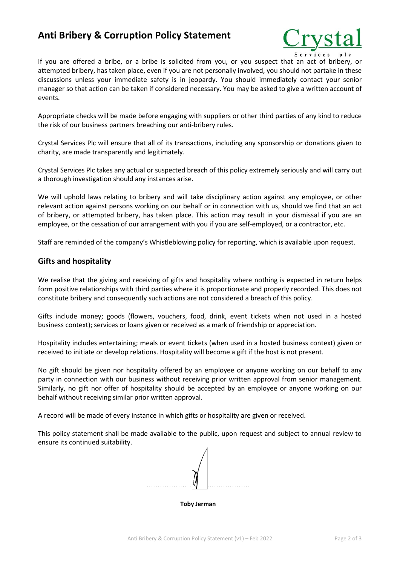# **Anti Bribery & Corruption Policy Statement**



If you are offered a bribe, or a bribe is solicited from you, or you suspect that an act of bribery, or attempted bribery, has taken place, even if you are not personally involved, you should not partake in these discussions unless your immediate safety is in jeopardy. You should immediately contact your senior manager so that action can be taken if considered necessary. You may be asked to give a written account of events.

Appropriate checks will be made before engaging with suppliers or other third parties of any kind to reduce the risk of our business partners breaching our anti-bribery rules.

Crystal Services Plc will ensure that all of its transactions, including any sponsorship or donations given to charity, are made transparently and legitimately.

Crystal Services Plc takes any actual or suspected breach of this policy extremely seriously and will carry out a thorough investigation should any instances arise.

We will uphold laws relating to bribery and will take disciplinary action against any employee, or other relevant action against persons working on our behalf or in connection with us, should we find that an act of bribery, or attempted bribery, has taken place. This action may result in your dismissal if you are an employee, or the cessation of our arrangement with you if you are self-employed, or a contractor, etc.

Staff are reminded of the company's Whistleblowing policy for reporting, which is available upon request.

## **Gifts and hospitality**

We realise that the giving and receiving of gifts and hospitality where nothing is expected in return helps form positive relationships with third parties where it is proportionate and properly recorded. This does not constitute bribery and consequently such actions are not considered a breach of this policy.

Gifts include money; goods (flowers, vouchers, food, drink, event tickets when not used in a hosted business context); services or loans given or received as a mark of friendship or appreciation.

Hospitality includes entertaining; meals or event tickets (when used in a hosted business context) given or received to initiate or develop relations. Hospitality will become a gift if the host is not present.

No gift should be given nor hospitality offered by an employee or anyone working on our behalf to any party in connection with our business without receiving prior written approval from senior management. Similarly, no gift nor offer of hospitality should be accepted by an employee or anyone working on our behalf without receiving similar prior written approval.

A record will be made of every instance in which gifts or hospitality are given or received.

This policy statement shall be made available to the public, upon request and subject to annual review to ensure its continued suitability.



**Toby Jerman**